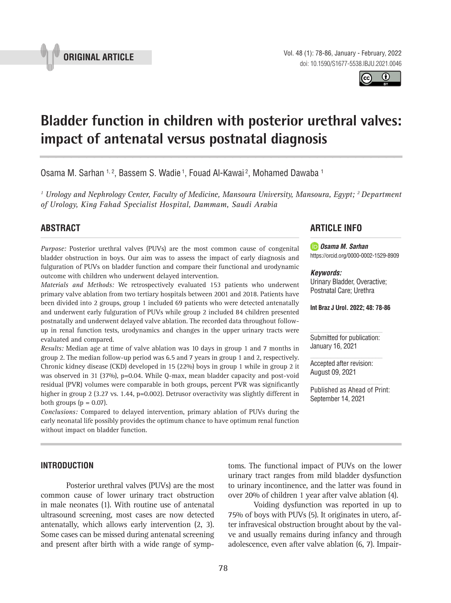

Vol. 48 (1): 78-86, January - February, 2022 doi: 10.1590/S1677-5538.IBJU.2021.0046

 $\odot$ 

# **Bladder function in children with posterior urethral valves: impact of antenatal versus postnatal diagnosis \_\_\_\_\_\_\_\_\_\_\_\_\_\_\_\_\_\_\_\_\_\_\_\_\_\_\_\_\_\_\_\_\_\_\_\_\_\_\_\_\_\_\_\_\_\_\_**

Osama M. Sarhan <sup>1, 2</sup>, Bassem S. Wadie <sup>1</sup>, Fouad Al-Kawai <sup>2</sup>, Mohamed Dawaba <sup>1</sup>

<sup>1</sup> Urology and Nephrology Center, Faculty of Medicine, Mansoura University, Mansoura, Egypt; <sup>2</sup> Department *of Urology, King Fahad Specialist Hospital, Dammam, Saudi Arabia*

# **ABSTRACT**

*Purpose:* Posterior urethral valves (PUVs) are the most common cause of congenital bladder obstruction in boys. Our aim was to assess the impact of early diagnosis and fulguration of PUVs on bladder function and compare their functional and urodynamic outcome with children who underwent delayed intervention.

*Materials and Methods:* We retrospectively evaluated 153 patients who underwent primary valve ablation from two tertiary hospitals between 2001 and 2018. Patients have been divided into 2 groups, group 1 included 69 patients who were detected antenatally and underwent early fulguration of PUVs while group 2 included 84 children presented postnatally and underwent delayed valve ablation. The recorded data throughout followup in renal function tests, urodynamics and changes in the upper urinary tracts were evaluated and compared.

*Results:* Median age at time of valve ablation was 10 days in group 1 and 7 months in group 2. The median follow-up period was 6.5 and 7 years in group 1 and 2, respectively. Chronic kidney disease (CKD) developed in 15 (22%) boys in group 1 while in group 2 it was observed in 31 (37%), p=0.04. While Q-max, mean bladder capacity and post-void residual (PVR) volumes were comparable in both groups, percent PVR was significantly higher in group 2 (3.27 vs. 1.44, p=0.002). Detrusor overactivity was slightly different in both groups  $(p = 0.07)$ .

*Conclusions:* Compared to delayed intervention, primary ablation of PUVs during the early neonatal life possibly provides the optimum chance to have optimum renal function without impact on bladder function.

#### **INTRODUCTION**

Posterior urethral valves (PUVs) are the most common cause of lower urinary tract obstruction in male neonates (1). With routine use of antenatal ultrasound screening, most cases are now detected antenatally, which allows early intervention (2, 3). Some cases can be missed during antenatal screening and present after birth with a wide range of symp-

# **ARTICLE INFO**

*Osama M. Sarhan* https://orcid.org/0000-0002-1529-8909

#### *Keywords:*

Urinary Bladder, Overactive; Postnatal Care; Urethra

**Int Braz J Urol. 2022; 48: 78-86**

Submitted for publication: January 16, 2021

Accepted after revision: August 09, 2021

Published as Ahead of Print: September 14, 2021

toms. The functional impact of PUVs on the lower urinary tract ranges from mild bladder dysfunction to urinary incontinence, and the latter was found in over 20% of children 1 year after valve ablation (4).

Voiding dysfunction was reported in up to 75% of boys with PUVs (5). It originates in utero, after infravesical obstruction brought about by the valve and usually remains during infancy and through adolescence, even after valve ablation (6, 7). Impair-

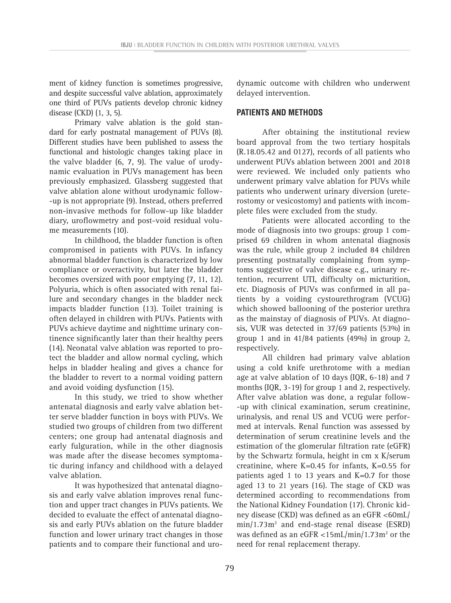ment of kidney function is sometimes progressive, and despite successful valve ablation, approximately one third of PUVs patients develop chronic kidney disease (CKD) (1, 3, 5).

Primary valve ablation is the gold standard for early postnatal management of PUVs (8). Different studies have been published to assess the functional and histologic changes taking place in the valve bladder (6, 7, 9). The value of urodynamic evaluation in PUVs management has been previously emphasized. Glassberg suggested that valve ablation alone without urodynamic follow- -up is not appropriate (9). Instead, others preferred non-invasive methods for follow-up like bladder diary, uroflowmetry and post-void residual volume measurements (10).

In childhood, the bladder function is often compromised in patients with PUVs. In infancy abnormal bladder function is characterized by low compliance or overactivity, but later the bladder becomes oversized with poor emptying (7, 11, 12). Polyuria, which is often associated with renal failure and secondary changes in the bladder neck impacts bladder function (13). Toilet training is often delayed in children with PUVs. Patients with PUVs achieve daytime and nighttime urinary continence significantly later than their healthy peers (14). Neonatal valve ablation was reported to protect the bladder and allow normal cycling, which helps in bladder healing and gives a chance for the bladder to revert to a normal voiding pattern and avoid voiding dysfunction (15).

In this study, we tried to show whether antenatal diagnosis and early valve ablation better serve bladder function in boys with PUVs. We studied two groups of children from two different centers; one group had antenatal diagnosis and early fulguration, while in the other diagnosis was made after the disease becomes symptomatic during infancy and childhood with a delayed valve ablation.

It was hypothesized that antenatal diagnosis and early valve ablation improves renal function and upper tract changes in PUVs patients. We decided to evaluate the effect of antenatal diagnosis and early PUVs ablation on the future bladder function and lower urinary tract changes in those patients and to compare their functional and urodynamic outcome with children who underwent delayed intervention.

# **PATIENTS AND METHODS**

After obtaining the institutional review board approval from the two tertiary hospitals (R.18.05.42 and 0127), records of all patients who underwent PUVs ablation between 2001 and 2018 were reviewed. We included only patients who underwent primary valve ablation for PUVs while patients who underwent urinary diversion (ureterostomy or vesicostomy) and patients with incomplete files were excluded from the study.

Patients were allocated according to the mode of diagnosis into two groups: group 1 comprised 69 children in whom antenatal diagnosis was the rule, while group 2 included 84 children presenting postnatally complaining from symptoms suggestive of valve disease e.g., urinary retention, recurrent UTI, difficulty on micturition, etc. Diagnosis of PUVs was confirmed in all patients by a voiding cystourethrogram (VCUG) which showed ballooning of the posterior urethra as the mainstay of diagnosis of PUVs. At diagnosis, VUR was detected in 37/69 patients (53%) in group 1 and in 41/84 patients (49%) in group 2, respectively.

All children had primary valve ablation using a cold knife urethrotome with a median age at valve ablation of 10 days (IQR, 6-18) and 7 months (IQR, 3-19) for group 1 and 2, respectively. After valve ablation was done, a regular follow- -up with clinical examination, serum creatinine, urinalysis, and renal US and VCUG were performed at intervals. Renal function was assessed by determination of serum creatinine levels and the estimation of the glomerular filtration rate (eGFR) by the Schwartz formula, height in cm x K/serum creatinine, where K=0.45 for infants, K=0.55 for patients aged 1 to 13 years and  $K=0.7$  for those aged 13 to 21 years (16). The stage of CKD was determined according to recommendations from the National Kidney Foundation (17). Chronic kidney disease (CKD) was defined as an eGFR <60mL/ min/1.73m2 and end-stage renal disease (ESRD) was defined as an eGFR  $\langle 15mL/min/1.73m^2 \text{ or the} \rangle$ need for renal replacement therapy.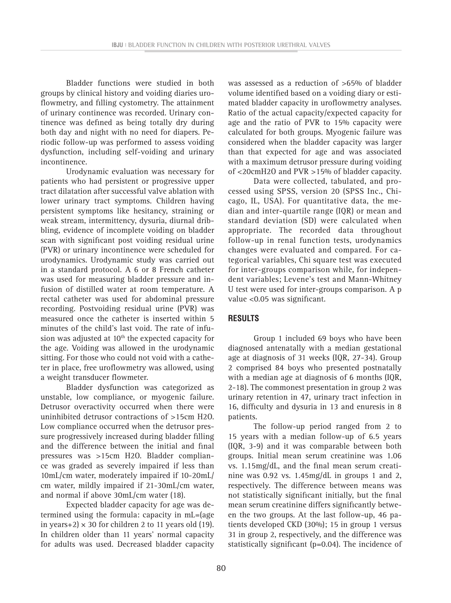Bladder functions were studied in both groups by clinical history and voiding diaries uroflowmetry, and filling cystometry. The attainment of urinary continence was recorded. Urinary continence was defined as being totally dry during both day and night with no need for diapers. Periodic follow-up was performed to assess voiding dysfunction, including self-voiding and urinary incontinence.

Urodynamic evaluation was necessary for patients who had persistent or progressive upper tract dilatation after successful valve ablation with lower urinary tract symptoms. Children having persistent symptoms like hesitancy, straining or weak stream, intermittency, dysuria, diurnal dribbling, evidence of incomplete voiding on bladder scan with significant post voiding residual urine (PVR) or urinary incontinence were scheduled for urodynamics. Urodynamic study was carried out in a standard protocol. A 6 or 8 French catheter was used for measuring bladder pressure and infusion of distilled water at room temperature. A rectal catheter was used for abdominal pressure recording. Postvoiding residual urine (PVR) was measured once the catheter is inserted within 5 minutes of the child's last void. The rate of infusion was adjusted at  $10<sup>th</sup>$  the expected capacity for the age. Voiding was allowed in the urodynamic sitting. For those who could not void with a catheter in place, free uroflowmetry was allowed, using a weight transducer flowmeter.

Bladder dysfunction was categorized as unstable, low compliance, or myogenic failure. Detrusor overactivity occurred when there were uninhibited detrusor contractions of >15cm H2O. Low compliance occurred when the detrusor pressure progressively increased during bladder filling and the difference between the initial and final pressures was >15cm H2O. Bladder compliance was graded as severely impaired if less than 10mL/cm water, moderately impaired if 10-20mL/ cm water, mildly impaired if 21-30mL/cm water, and normal if above 30mL/cm water (18).

Expected bladder capacity for age was determined using the formula: capacity in mL=(age in years+2)  $\times$  30 for children 2 to 11 years old (19). In children older than 11 years' normal capacity for adults was used. Decreased bladder capacity was assessed as a reduction of >65% of bladder volume identified based on a voiding diary or estimated bladder capacity in uroflowmetry analyses. Ratio of the actual capacity/expected capacity for age and the ratio of PVR to 15% capacity were calculated for both groups. Myogenic failure was considered when the bladder capacity was larger than that expected for age and was associated with a maximum detrusor pressure during voiding of <20cmH2O and PVR >15% of bladder capacity.

Data were collected, tabulated, and processed using SPSS, version 20 (SPSS Inc., Chicago, IL, USA). For quantitative data, the median and inter-quartile range (IQR) or mean and standard deviation (SD) were calculated when appropriate. The recorded data throughout follow-up in renal function tests, urodynamics changes were evaluated and compared. For categorical variables, Chi square test was executed for inter-groups comparison while, for independent variables; Levene's test and Mann-Whitney U test were used for inter-groups comparison. A p value <0.05 was significant.

### **RESULTS**

Group 1 included 69 boys who have been diagnosed antenatally with a median gestational age at diagnosis of 31 weeks (IQR, 27-34). Group 2 comprised 84 boys who presented postnatally with a median age at diagnosis of 6 months (IQR, 2-18). The commonest presentation in group 2 was urinary retention in 47, urinary tract infection in 16, difficulty and dysuria in 13 and enuresis in 8 patients.

The follow-up period ranged from 2 to 15 years with a median follow-up of 6.5 years (IQR, 3-9) and it was comparable between both groups. Initial mean serum creatinine was 1.06 vs. 1.15mg/dL, and the final mean serum creatinine was 0.92 vs. 1.45mg/dL in groups 1 and 2, respectively. The difference between means was not statistically significant initially, but the final mean serum creatinine differs significantly between the two groups. At the last follow-up, 46 patients developed CKD (30%); 15 in group 1 versus 31 in group 2, respectively, and the difference was statistically significant (p=0.04). The incidence of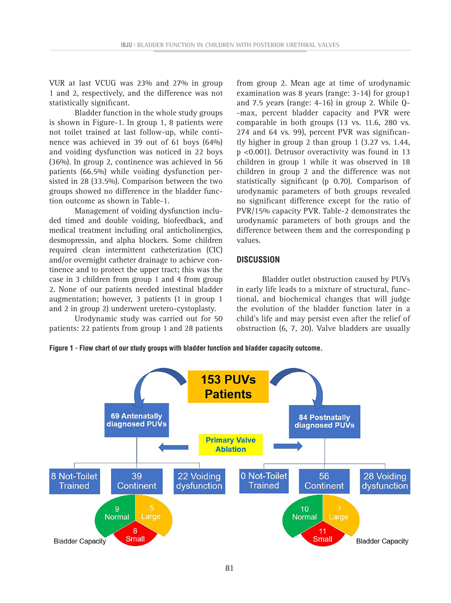VUR at last VCUG was 23% and 27% in group 1 and 2, respectively, and the difference was not statistically significant.

Bladder function in the whole study groups is shown in Figure-1. In group 1, 8 patients were not toilet trained at last follow-up, while continence was achieved in 39 out of 61 boys (64%) and voiding dysfunction was noticed in 22 boys (36%). In group 2, continence was achieved in 56 patients (66.5%) while voiding dysfunction persisted in 28 (33.5%). Comparison between the two groups showed no difference in the bladder function outcome as shown in Table-1.

Management of voiding dysfunction included timed and double voiding, biofeedback, and medical treatment including oral anticholinergics, desmopressin, and alpha blockers. Some children required clean intermittent catheterization (CIC) and/or overnight catheter drainage to achieve continence and to protect the upper tract; this was the case in 3 children from group 1 and 4 from group 2. None of our patients needed intestinal bladder augmentation; however, 3 patients (1 in group 1 and 2 in group 2) underwent uretero-cystoplasty.

Urodynamic study was carried out for 50 patients: 22 patients from group 1 and 28 patients

from group 2. Mean age at time of urodynamic examination was 8 years (range: 3-14) for group1 and 7.5 years (range: 4-16) in group 2. While Q- -max, percent bladder capacity and PVR were comparable in both groups (13 vs. 11.6, 280 vs. 274 and 64 vs. 99), percent PVR was significantly higher in group 2 than group 1 (3.27 vs. 1.44, p <0.001). Detrusor overactivity was found in 13 children in group 1 while it was observed in 18 children in group 2 and the difference was not statistically significant (p 0.70). Comparison of urodynamic parameters of both groups revealed no significant difference except for the ratio of PVR/15% capacity PVR. Table-2 demonstrates the urodynamic parameters of both groups and the difference between them and the corresponding p values.

### **DISCUSSION**

Bladder outlet obstruction caused by PUVs in early life leads to a mixture of structural, functional, and biochemical changes that will judge the evolution of the bladder function later in a child's life and may persist even after the relief of obstruction (6, 7, 20). Valve bladders are usually



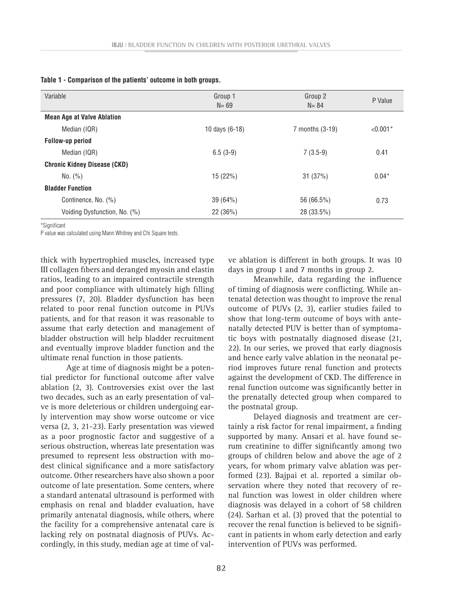| Variable                            | Group 1<br>$N = 69$ | Group 2<br>$N = 84$ | P Value    |
|-------------------------------------|---------------------|---------------------|------------|
| <b>Mean Age at Valve Ablation</b>   |                     |                     |            |
| Median (IQR)                        | 10 days (6-18)      | 7 months (3-19)     | $< 0.001*$ |
| <b>Follow-up period</b>             |                     |                     |            |
| Median (IQR)                        | $6.5(3-9)$          | $7(3.5-9)$          | 0.41       |
| <b>Chronic Kidney Disease (CKD)</b> |                     |                     |            |
| No. (%)                             | 15 (22%)            | 31 (37%)            | $0.04*$    |
| <b>Bladder Function</b>             |                     |                     |            |
| Continence, No. (%)                 | 39(64%)             | 56 (66.5%)          | 0.73       |
| Voiding Dysfunction, No. (%)        | 22 (36%)            | 28 (33.5%)          |            |
|                                     |                     |                     |            |

**Table 1 - Comparison of the patients' outcome in both groups.**

\*Significant

P value was calculated using Mann Whitney and Chi Square tests.

thick with hypertrophied muscles, increased type III collagen fibers and deranged myosin and elastin ratios, leading to an impaired contractile strength and poor compliance with ultimately high filling pressures (7, 20). Bladder dysfunction has been related to poor renal function outcome in PUVs patients, and for that reason it was reasonable to assume that early detection and management of bladder obstruction will help bladder recruitment and eventually improve bladder function and the ultimate renal function in those patients.

Age at time of diagnosis might be a potential predictor for functional outcome after valve ablation (2, 3). Controversies exist over the last two decades, such as an early presentation of valve is more deleterious or children undergoing early intervention may show worse outcome or vice versa (2, 3, 21-23). Early presentation was viewed as a poor prognostic factor and suggestive of a serious obstruction, whereas late presentation was presumed to represent less obstruction with modest clinical significance and a more satisfactory outcome. Other researchers have also shown a poor outcome of late presentation. Some centers, where a standard antenatal ultrasound is performed with emphasis on renal and bladder evaluation, have primarily antenatal diagnosis, while others, where the facility for a comprehensive antenatal care is lacking rely on postnatal diagnosis of PUVs. Accordingly, in this study, median age at time of valve ablation is different in both groups. It was 10 days in group 1 and 7 months in group 2.

Meanwhile, data regarding the influence of timing of diagnosis were conflicting. While antenatal detection was thought to improve the renal outcome of PUVs (2, 3), earlier studies failed to show that long-term outcome of boys with antenatally detected PUV is better than of symptomatic boys with postnatally diagnosed disease (21, 22). In our series, we proved that early diagnosis and hence early valve ablation in the neonatal period improves future renal function and protects against the development of CKD. The difference in renal function outcome was significantly better in the prenatally detected group when compared to the postnatal group.

Delayed diagnosis and treatment are certainly a risk factor for renal impairment, a finding supported by many. Ansari et al. have found serum creatinine to differ significantly among two groups of children below and above the age of 2 years, for whom primary valve ablation was performed (23). Bajpai et al. reported a similar observation where they noted that recovery of renal function was lowest in older children where diagnosis was delayed in a cohort of 58 children (24). Sarhan et al. (3) proved that the potential to recover the renal function is believed to be significant in patients in whom early detection and early intervention of PUVs was performed.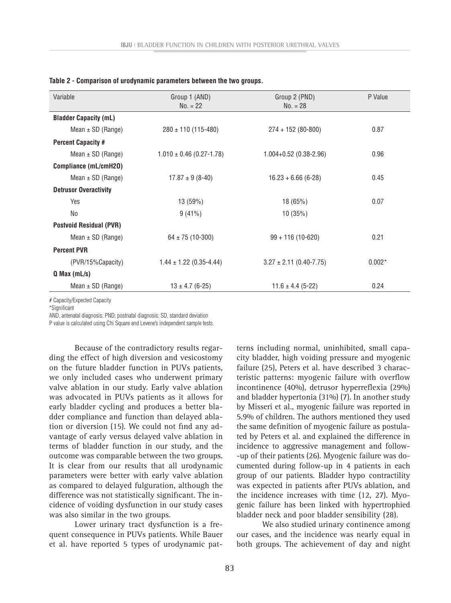| Variable                       | Group 1 (AND)<br>$No. = 22$  | Group 2 (PND)<br>$No. = 28$   | P Value  |
|--------------------------------|------------------------------|-------------------------------|----------|
| <b>Bladder Capacity (mL)</b>   |                              |                               |          |
| Mean $\pm$ SD (Range)          | $280 \pm 110$ (115-480)      | $274 + 152(80 - 800)$         | 0.87     |
| <b>Percent Capacity #</b>      |                              |                               |          |
| Mean $\pm$ SD (Range)          | $1.010 \pm 0.46$ (0.27-1.78) | $1.004 + 0.52$ (0.38-2.96)    | 0.96     |
| Compliance (mL/cmH20)          |                              |                               |          |
| Mean $\pm$ SD (Range)          | $17.87 \pm 9(8-40)$          | $16.23 + 6.66$ (6-28)         | 0.45     |
| <b>Detrusor Overactivity</b>   |                              |                               |          |
| Yes                            | 13(59%)                      | 18(65%)                       | 0.07     |
| No                             | $9(41\%)$                    | 10(35%)                       |          |
| <b>Postvoid Residual (PVR)</b> |                              |                               |          |
| Mean $\pm$ SD (Range)          | $64 \pm 75$ (10-300)         | $99 + 116(10 - 620)$          | 0.21     |
| <b>Percent PVR</b>             |                              |                               |          |
| (PVR/15%Capacity)              | $1.44 \pm 1.22$ (0.35-4.44)  | $3.27 \pm 2.11 (0.40 - 7.75)$ | $0.002*$ |
| $Q$ Max (mL/s)                 |                              |                               |          |
| Mean $\pm$ SD (Range)          | $13 \pm 4.7$ (6-25)          | $11.6 \pm 4.4$ (5-22)         | 0.24     |

|  |  | Table 2 - Comparison of urodynamic parameters between the two groups. |  |  |  |  |
|--|--|-----------------------------------------------------------------------|--|--|--|--|
|--|--|-----------------------------------------------------------------------|--|--|--|--|

# Capacity/Expected Capacity

\*Significant

AND, antenatal diagnosis; PND; postnatal diagnosis; SD, standard deviation

P value is calculated using Chi Square and Levene's independent sample tests.

Because of the contradictory results regarding the effect of high diversion and vesicostomy on the future bladder function in PUVs patients, we only included cases who underwent primary valve ablation in our study. Early valve ablation was advocated in PUVs patients as it allows for early bladder cycling and produces a better bladder compliance and function than delayed ablation or diversion (15). We could not find any advantage of early versus delayed valve ablation in terms of bladder function in our study, and the outcome was comparable between the two groups. It is clear from our results that all urodynamic parameters were better with early valve ablation as compared to delayed fulguration, although the difference was not statistically significant. The incidence of voiding dysfunction in our study cases was also similar in the two groups.

Lower urinary tract dysfunction is a frequent consequence in PUVs patients. While Bauer et al. have reported 5 types of urodynamic pat-

terns including normal, uninhibited, small capacity bladder, high voiding pressure and myogenic failure (25), Peters et al. have described 3 characteristic patterns: myogenic failure with overflow incontinence (40%), detrusor hyperreflexia (29%) and bladder hypertonia (31%) (7). In another study by Misseri et al., myogenic failure was reported in 5.9% of children. The authors mentioned they used the same definition of myogenic failure as postulated by Peters et al. and explained the difference in incidence to aggressive management and follow- -up of their patients (26). Myogenic failure was documented during follow-up in 4 patients in each group of our patients. Bladder hypo contractility was expected in patients after PUVs ablation, and the incidence increases with time (12, 27). Myogenic failure has been linked with hypertrophied bladder neck and poor bladder sensibility (28).

We also studied urinary continence among our cases, and the incidence was nearly equal in both groups. The achievement of day and night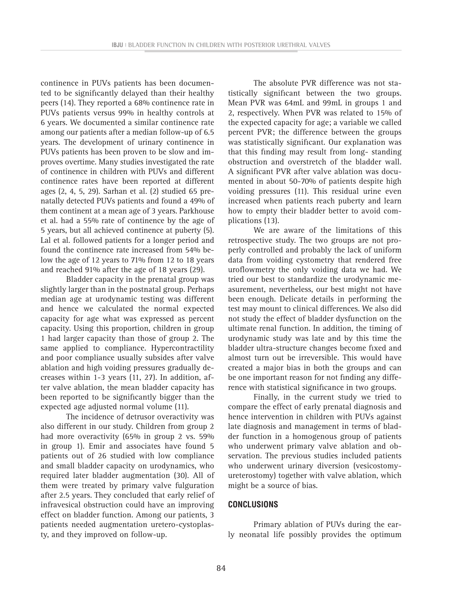continence in PUVs patients has been documented to be significantly delayed than their healthy peers (14). They reported a 68% continence rate in PUVs patients versus 99% in healthy controls at 6 years. We documented a similar continence rate among our patients after a median follow-up of 6.5 years. The development of urinary continence in PUVs patients has been proven to be slow and improves overtime. Many studies investigated the rate of continence in children with PUVs and different continence rates have been reported at different ages (2, 4, 5, 29). Sarhan et al. (2) studied 65 prenatally detected PUVs patients and found a 49% of them continent at a mean age of 3 years. Parkhouse et al. had a 55% rate of continence by the age of 5 years, but all achieved continence at puberty (5). Lal et al. followed patients for a longer period and found the continence rate increased from 54% below the age of 12 years to 71% from 12 to 18 years and reached 91% after the age of 18 years (29).

Bladder capacity in the prenatal group was slightly larger than in the postnatal group. Perhaps median age at urodynamic testing was different and hence we calculated the normal expected capacity for age what was expressed as percent capacity. Using this proportion, children in group 1 had larger capacity than those of group 2. The same applied to compliance. Hypercontractility and poor compliance usually subsides after valve ablation and high voiding pressures gradually decreases within 1-3 years (11, 27). In addition, after valve ablation, the mean bladder capacity has been reported to be significantly bigger than the expected age adjusted normal volume (11).

The incidence of detrusor overactivity was also different in our study. Children from group 2 had more overactivity (65% in group 2 vs. 59% in group 1). Emir and associates have found 5 patients out of 26 studied with low compliance and small bladder capacity on urodynamics, who required later bladder augmentation (30). All of them were treated by primary valve fulguration after 2.5 years. They concluded that early relief of infravesical obstruction could have an improving effect on bladder function. Among our patients, 3 patients needed augmentation uretero-cystoplasty, and they improved on follow-up.

The absolute PVR difference was not statistically significant between the two groups. Mean PVR was 64mL and 99mL in groups 1 and 2, respectively. When PVR was related to 15% of the expected capacity for age; a variable we called percent PVR; the difference between the groups was statistically significant. Our explanation was that this finding may result from long- standing obstruction and overstretch of the bladder wall. A significant PVR after valve ablation was documented in about 50-70% of patients despite high voiding pressures (11). This residual urine even increased when patients reach puberty and learn how to empty their bladder better to avoid complications (13).

We are aware of the limitations of this retrospective study. The two groups are not properly controlled and probably the lack of uniform data from voiding cystometry that rendered free uroflowmetry the only voiding data we had. We tried our best to standardize the urodynamic measurement, nevertheless, our best might not have been enough. Delicate details in performing the test may mount to clinical differences. We also did not study the effect of bladder dysfunction on the ultimate renal function. In addition, the timing of urodynamic study was late and by this time the bladder ultra-structure changes become fixed and almost turn out be irreversible. This would have created a major bias in both the groups and can be one important reason for not finding any difference with statistical significance in two groups.

Finally, in the current study we tried to compare the effect of early prenatal diagnosis and hence intervention in children with PUVs against late diagnosis and management in terms of bladder function in a homogenous group of patients who underwent primary valve ablation and observation. The previous studies included patients who underwent urinary diversion (vesicostomyureterostomy) together with valve ablation, which might be a source of bias.

### **CONCLUSIONS**

Primary ablation of PUVs during the early neonatal life possibly provides the optimum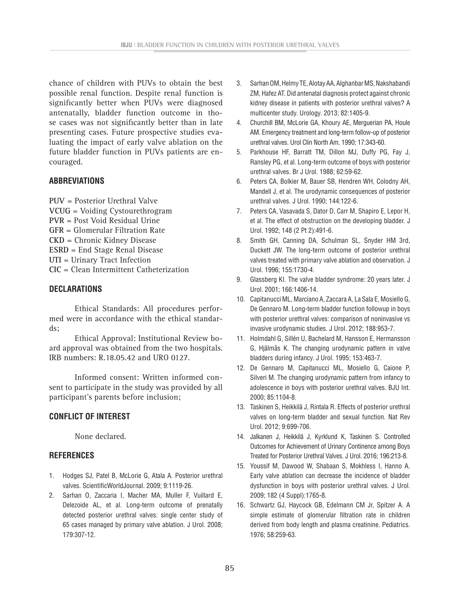chance of children with PUVs to obtain the best possible renal function. Despite renal function is significantly better when PUVs were diagnosed antenatally, bladder function outcome in those cases was not significantly better than in late presenting cases. Future prospective studies evaluating the impact of early valve ablation on the future bladder function in PUVs patients are encouraged.

## **ABBREVIATIONS**

**PUV** = Posterior Urethral Valve **VCUG** = Voiding Cystourethrogram **PVR** = Post Void Residual Urine **GFR** = Glomerular Filtration Rate **CKD** = Chronic Kidney Disease **ESRD** = End Stage Renal Disease **UTI** = Urinary Tract Infection **CIC** = Clean Intermittent Catheterization

### **DECLARATIONS**

Ethical Standards: All procedures performed were in accordance with the ethical standards;

Ethical Approval: Institutional Review board approval was obtained from the two hospitals. IRB numbers: R.18.05.42 and URO 0127.

Informed consent: Written informed consent to participate in the study was provided by all participant's parents before inclusion;

# **CONFLICT OF INTEREST**

None declared.

# **REFERENCES**

- 1. Hodges SJ, Patel B, McLorie G, Atala A. Posterior urethral valves. ScientificWorldJournal. 2009; 9:1119-26.
- 2. Sarhan O, Zaccaria I, Macher MA, Muller F, Vuillard E, Delezoide AL, et al. Long-term outcome of prenatally detected posterior urethral valves: single center study of 65 cases managed by primary valve ablation. J Urol. 2008; 179:307-12.
- 3. Sarhan OM, Helmy TE, Alotay AA, Alghanbar MS, Nakshabandi ZM, Hafez AT. Did antenatal diagnosis protect against chronic kidney disease in patients with posterior urethral valves? A multicenter study. Urology. 2013; 82:1405-9.
- 4. Churchill BM, McLorie GA, Khoury AE, Merguerian PA, Houle AM. Emergency treatment and long-term follow-up of posterior urethral valves. Urol Clin North Am. 1990; 17:343-60.
- 5. Parkhouse HF, Barratt TM, Dillon MJ, Duffy PG, Fay J, Ransley PG, et al. Long-term outcome of boys with posterior urethral valves. Br J Urol. 1988; 62:59-62.
- 6. Peters CA, Bolkier M, Bauer SB, Hendren WH, Colodny AH, Mandell J, et al. The urodynamic consequences of posterior urethral valves. J Urol. 1990; 144:122-6.
- 7. Peters CA, Vasavada S, Dator D, Carr M, Shapiro E, Lepor H, et al. The effect of obstruction on the developing bladder. J Urol. 1992; 148 (2 Pt 2):491-6.
- 8. Smith GH, Canning DA, Schulman SL, Snyder HM 3rd, Duckett JW. The long-term outcome of posterior urethral valves treated with primary valve ablation and observation. J Urol. 1996; 155:1730-4.
- 9. Glassberg KI. The valve bladder syndrome: 20 years later. J Urol. 2001; 166:1406-14.
- 10. Capitanucci ML, Marciano A, Zaccara A, La Sala E, Mosiello G, De Gennaro M. Long-term bladder function followup in boys with posterior urethral valves: comparison of noninvasive vs invasive urodynamic studies. J Urol. 2012; 188:953-7.
- 11. Holmdahl G, Sillén U, Bachelard M, Hansson E, Hermansson G, Hjälmås K. The changing urodynamic pattern in valve bladders during infancy. J Urol. 1995; 153:463-7.
- 12. De Gennaro M, Capitanucci ML, Mosiello G, Caione P, Silveri M. The changing urodynamic pattern from infancy to adolescence in boys with posterior urethral valves. BJU Int. 2000; 85:1104-8.
- 13. Taskinen S, Heikkilä J, Rintala R. Effects of posterior urethral valves on long-term bladder and sexual function. Nat Rev Urol. 2012; 9:699-706.
- 14. Jalkanen J, Heikkilä J, Kyrklund K, Taskinen S. Controlled Outcomes for Achievement of Urinary Continence among Boys Treated for Posterior Urethral Valves. J Urol. 2016; 196:213-8.
- 15. Youssif M, Dawood W, Shabaan S, Mokhless I, Hanno A. Early valve ablation can decrease the incidence of bladder dysfunction in boys with posterior urethral valves. J Urol. 2009; 182 (4 Suppl):1765-8.
- 16. Schwartz GJ, Haycock GB, Edelmann CM Jr, Spitzer A. A simple estimate of glomerular filtration rate in children derived from body length and plasma creatinine. Pediatrics. 1976; 58:259-63.